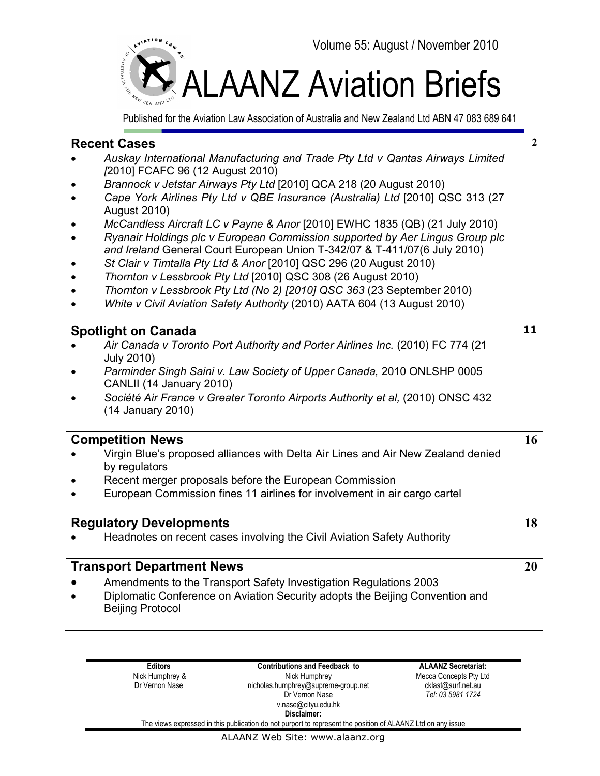

Published for the Aviation Law Association of Australia and New Zealand Ltd ABN 47 083 689 641

## **Recent Cases**

- *Auskay International Manufacturing and Trade Pty Ltd v Qantas Airways Limited [*2010] FCAFC 96 (12 August 2010)
- *Brannock v Jetstar Airways Pty Ltd* [2010] QCA 218 (20 August 2010)
- *Cape York Airlines Pty Ltd v QBE Insurance (Australia) Ltd* [2010] QSC 313 (27 August 2010)
- *McCandless Aircraft LC v Payne & Anor* [2010] EWHC 1835 (QB) (21 July 2010)
- *Ryanair Holdings plc v European Commission supported by Aer Lingus Group plc and Ireland* General Court European Union T-342/07 & T-411/07(6 July 2010)
- *St Clair v Timtalla Pty Ltd & Anor* [2010] QSC 296 (20 August 2010)
- *Thornton v Lessbrook Pty Ltd* [2010] QSC 308 (26 August 2010)
- *Thornton v Lessbrook Pty Ltd (No 2) [2010] QSC 363* (23 September 2010)
- *White v Civil Aviation Safety Authority* (2010) AATA 604 (13 August 2010)

## **Spotlight on Canada**

- *Air Canada v Toronto Port Authority and Porter Airlines Inc.* (2010) FC 774 (21 July 2010)
- *Parminder Singh Saini v. Law Society of Upper Canada,* 2010 ONLSHP 0005 CANLII (14 January 2010)
- *Société Air France v Greater Toronto Airports Authority et al,* (2010) ONSC 432 (14 January 2010)

## **Competition News**

- Virgin Blue's proposed alliances with Delta Air Lines and Air New Zealand denied by regulators
- Recent merger proposals before the European Commission
- European Commission fines 11 airlines for involvement in air cargo cartel

## **Regulatory Developments**

• Headnotes on recent cases involving the Civil Aviation Safety Authority

### **Transport Department News**

- Amendments to the Transport Safety Investigation Regulations 2003
- Diplomatic Conference on Aviation Security adopts the Beijing Convention and Beijing Protocol

**Editors** Nick Humphrey & Dr Vernon Nase

**Contributions and Feedback to** Nick Humphrey nicholas.humphrey@supreme-group.net Dr Vernon Nase v.nase@cityu.edu.hk **Disclaimer:**

**ALAANZ Secretariat:** Mecca Concepts Pty Ltd cklast@surf.net.au *Tel: 03 5981 1724* 

The views expressed in this publication do not purport to represent the position of ALAANZ Ltd on any issue

#### ALAANZ Web Site: www.alaanz.org

**11**

**2**

**18**

**16**

**20**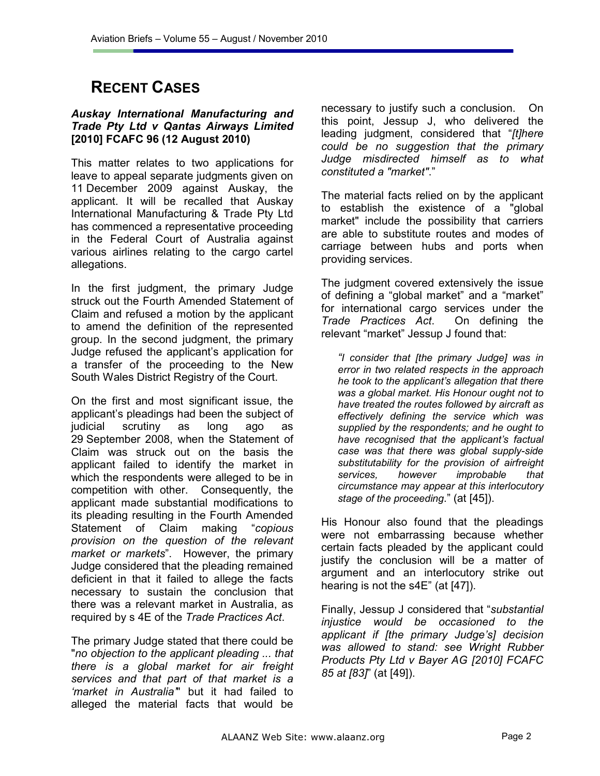## **RECENT CASES**

#### *Auskay International Manufacturing and Trade Pty Ltd v Qantas Airways Limited*  **[2010] FCAFC 96 (12 August 2010)**

This matter relates to two applications for leave to appeal separate judgments given on 11 December 2009 against Auskay, the applicant. It will be recalled that Auskay International Manufacturing & Trade Pty Ltd has commenced a representative proceeding in the Federal Court of Australia against various airlines relating to the cargo cartel allegations.

In the first judgment, the primary Judge struck out the Fourth Amended Statement of Claim and refused a motion by the applicant to amend the definition of the represented group. In the second judgment, the primary Judge refused the applicant's application for a transfer of the proceeding to the New South Wales District Registry of the Court.

On the first and most significant issue, the applicant's pleadings had been the subject of judicial scrutiny as long ago as 29 September 2008, when the Statement of Claim was struck out on the basis the applicant failed to identify the market in which the respondents were alleged to be in competition with other. Consequently, the applicant made substantial modifications to its pleading resulting in the Fourth Amended Statement of Claim making "*copious provision on the question of the relevant market or markets*". However, the primary Judge considered that the pleading remained deficient in that it failed to allege the facts necessary to sustain the conclusion that there was a relevant market in Australia, as required by s 4E of the *Trade Practices Act*.

The primary Judge stated that there could be "*no objection to the applicant pleading ... that there is a global market for air freight services and that part of that market is a 'market in Australia'*" but it had failed to alleged the material facts that would be

necessary to justify such a conclusion. On this point, Jessup J, who delivered the leading judgment, considered that "*[t]here could be no suggestion that the primary Judge misdirected himself as to what constituted a "market"*."

The material facts relied on by the applicant to establish the existence of a "global market" include the possibility that carriers are able to substitute routes and modes of carriage between hubs and ports when providing services.

The judgment covered extensively the issue of defining a "global market" and a "market" for international cargo services under the *Trade Practices Act*. On defining the relevant "market" Jessup J found that:

*"I consider that [the primary Judge] was in error in two related respects in the approach he took to the applicant's allegation that there was a global market. His Honour ought not to have treated the routes followed by aircraft as effectively defining the service which was supplied by the respondents; and he ought to have recognised that the applicant's factual case was that there was global supply-side substitutability for the provision of airfreight services, however improbable that circumstance may appear at this interlocutory stage of the proceeding*." (at [45]).

His Honour also found that the pleadings were not embarrassing because whether certain facts pleaded by the applicant could justify the conclusion will be a matter of argument and an interlocutory strike out hearing is not the s4E" (at [47]).

Finally, Jessup J considered that "*substantial injustice would be occasioned to the applicant if [the primary Judge's] decision was allowed to stand: see Wright Rubber Products Pty Ltd v Bayer AG [2010] FCAFC 85 at [83]*" (at [49]).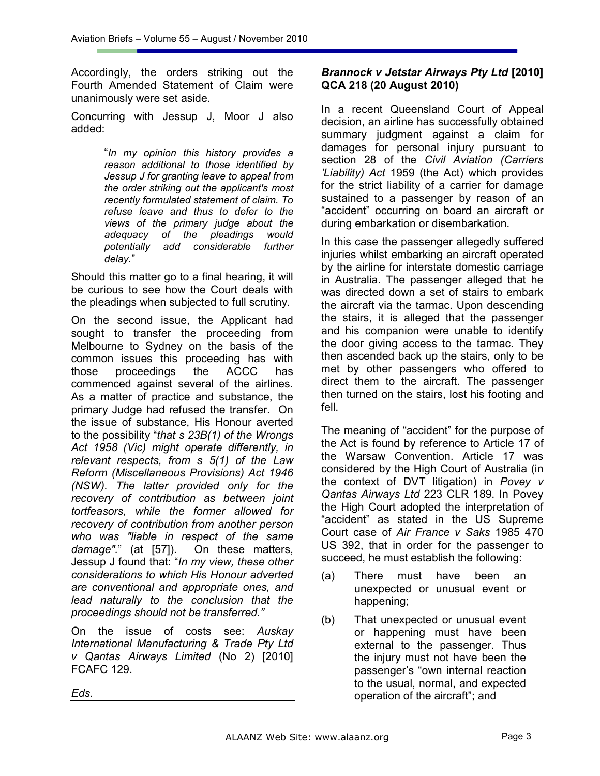Accordingly, the orders striking out the Fourth Amended Statement of Claim were unanimously were set aside.

Concurring with Jessup J, Moor J also added:

> "*In my opinion this history provides a reason additional to those identified by Jessup J for granting leave to appeal from the order striking out the applicant's most recently formulated statement of claim. To refuse leave and thus to defer to the views of the primary judge about the adequacy of the pleadings would potentially add considerable further delay.*"

Should this matter go to a final hearing, it will be curious to see how the Court deals with the pleadings when subjected to full scrutiny.

On the second issue, the Applicant had sought to transfer the proceeding from Melbourne to Sydney on the basis of the common issues this proceeding has with those proceedings the ACCC has commenced against several of the airlines. As a matter of practice and substance, the primary Judge had refused the transfer. On the issue of substance, His Honour averted to the possibility "*that s 23B(1) of the Wrongs Act 1958 (Vic) might operate differently, in relevant respects, from s 5(1) of the Law Reform (Miscellaneous Provisions) Act 1946 (NSW). The latter provided only for the recovery of contribution as between joint tortfeasors, while the former allowed for recovery of contribution from another person who was "liable in respect of the same damage".*" (at [57]). On these matters, Jessup J found that: "*In my view, these other considerations to which His Honour adverted are conventional and appropriate ones, and lead naturally to the conclusion that the proceedings should not be transferred."* 

On the issue of costs see: *Auskay International Manufacturing & Trade Pty Ltd v Qantas Airways Limited* (No 2) [2010] FCAFC 129.

#### *Brannock v Jetstar Airways Pty Ltd* **[2010] QCA 218 (20 August 2010)**

In a recent Queensland Court of Appeal decision, an airline has successfully obtained summary judgment against a claim for damages for personal injury pursuant to section 28 of the *Civil Aviation (Carriers 'Liability) Act* 1959 (the Act) which provides for the strict liability of a carrier for damage sustained to a passenger by reason of an "accident" occurring on board an aircraft or during embarkation or disembarkation.

In this case the passenger allegedly suffered injuries whilst embarking an aircraft operated by the airline for interstate domestic carriage in Australia. The passenger alleged that he was directed down a set of stairs to embark the aircraft via the tarmac. Upon descending the stairs, it is alleged that the passenger and his companion were unable to identify the door giving access to the tarmac. They then ascended back up the stairs, only to be met by other passengers who offered to direct them to the aircraft. The passenger then turned on the stairs, lost his footing and fell.

The meaning of "accident" for the purpose of the Act is found by reference to Article 17 of the Warsaw Convention. Article 17 was considered by the High Court of Australia (in the context of DVT litigation) in *Povey v Qantas Airways Ltd* 223 CLR 189. In Povey the High Court adopted the interpretation of "accident" as stated in the US Supreme Court case of *Air France v Saks* 1985 470 US 392, that in order for the passenger to succeed, he must establish the following:

- (a) There must have been an unexpected or unusual event or happening;
- (b) That unexpected or unusual event or happening must have been external to the passenger. Thus the injury must not have been the passenger's "own internal reaction to the usual, normal, and expected operation of the aircraft"; and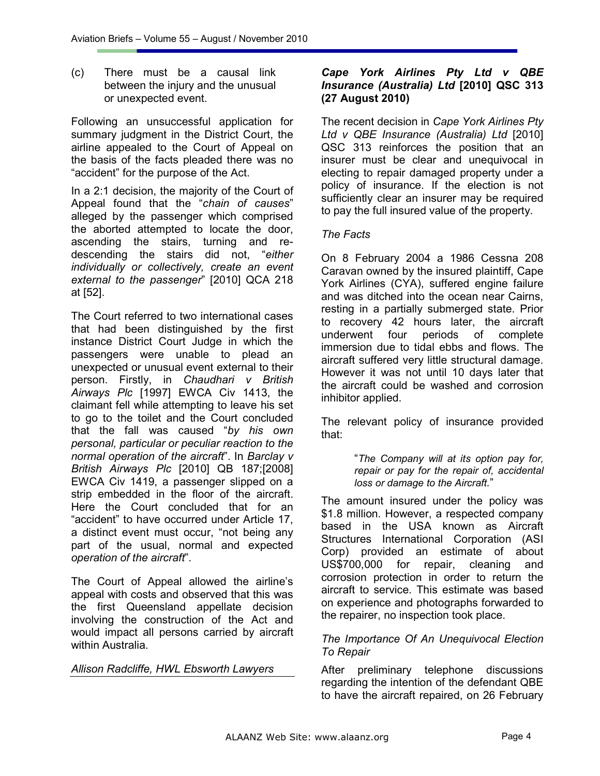(c) There must be a causal link between the injury and the unusual or unexpected event.

Following an unsuccessful application for summary judgment in the District Court, the airline appealed to the Court of Appeal on the basis of the facts pleaded there was no "accident" for the purpose of the Act.

In a 2:1 decision, the majority of the Court of Appeal found that the "*chain of causes*" alleged by the passenger which comprised the aborted attempted to locate the door, ascending the stairs, turning and redescending the stairs did not, "*either individually or collectively, create an event external to the passenger*" [2010] QCA 218 at [52].

The Court referred to two international cases that had been distinguished by the first instance District Court Judge in which the passengers were unable to plead an unexpected or unusual event external to their person. Firstly, in *Chaudhari v British Airways Plc* [1997] EWCA Civ 1413, the claimant fell while attempting to leave his set to go to the toilet and the Court concluded that the fall was caused "*by his own personal, particular or peculiar reaction to the normal operation of the aircraft*". In *Barclay v British Airways Plc* [2010] QB 187;[2008] EWCA Civ 1419, a passenger slipped on a strip embedded in the floor of the aircraft. Here the Court concluded that for an "accident" to have occurred under Article 17, a distinct event must occur, "not being any part of the usual, normal and expected *operation of the aircraft*".

The Court of Appeal allowed the airline's appeal with costs and observed that this was the first Queensland appellate decision involving the construction of the Act and would impact all persons carried by aircraft within Australia.

*Allison Radcliffe, HWL Ebsworth Lawyers* 

### *Cape York Airlines Pty Ltd v QBE Insurance (Australia) Ltd* **[2010] QSC 313 (27 August 2010)**

The recent decision in *Cape York Airlines Pty Ltd v QBE Insurance (Australia) Ltd* [2010] QSC 313 reinforces the position that an insurer must be clear and unequivocal in electing to repair damaged property under a policy of insurance. If the election is not sufficiently clear an insurer may be required to pay the full insured value of the property.

#### *The Facts*

On 8 February 2004 a 1986 Cessna 208 Caravan owned by the insured plaintiff, Cape York Airlines (CYA), suffered engine failure and was ditched into the ocean near Cairns, resting in a partially submerged state. Prior to recovery 42 hours later, the aircraft underwent four periods of complete immersion due to tidal ebbs and flows. The aircraft suffered very little structural damage. However it was not until 10 days later that the aircraft could be washed and corrosion inhibitor applied.

The relevant policy of insurance provided that:

> "*The Company will at its option pay for, repair or pay for the repair of, accidental loss or damage to the Aircraft.*"

The amount insured under the policy was \$1.8 million. However, a respected company based in the USA known as Aircraft Structures International Corporation (ASI Corp) provided an estimate of about US\$700,000 for repair, cleaning and corrosion protection in order to return the aircraft to service. This estimate was based on experience and photographs forwarded to the repairer, no inspection took place.

#### *The Importance Of An Unequivocal Election To Repair*

After preliminary telephone discussions regarding the intention of the defendant QBE to have the aircraft repaired, on 26 February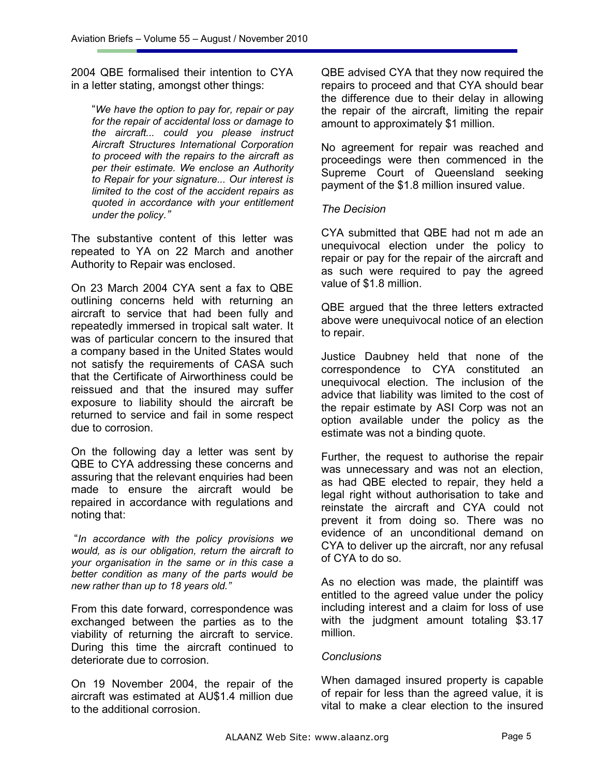2004 QBE formalised their intention to CYA in a letter stating, amongst other things:

"*We have the option to pay for, repair or pay for the repair of accidental loss or damage to the aircraft... could you please instruct Aircraft Structures International Corporation to proceed with the repairs to the aircraft as per their estimate. We enclose an Authority to Repair for your signature... Our interest is limited to the cost of the accident repairs as quoted in accordance with your entitlement under the policy."*

The substantive content of this letter was repeated to YA on 22 March and another Authority to Repair was enclosed.

On 23 March 2004 CYA sent a fax to QBE outlining concerns held with returning an aircraft to service that had been fully and repeatedly immersed in tropical salt water. It was of particular concern to the insured that a company based in the United States would not satisfy the requirements of CASA such that the Certificate of Airworthiness could be reissued and that the insured may suffer exposure to liability should the aircraft be returned to service and fail in some respect due to corrosion.

On the following day a letter was sent by QBE to CYA addressing these concerns and assuring that the relevant enquiries had been made to ensure the aircraft would be repaired in accordance with regulations and noting that:

 "*In accordance with the policy provisions we would, as is our obligation, return the aircraft to your organisation in the same or in this case a better condition as many of the parts would be new rather than up to 18 years old."*

From this date forward, correspondence was exchanged between the parties as to the viability of returning the aircraft to service. During this time the aircraft continued to deteriorate due to corrosion.

On 19 November 2004, the repair of the aircraft was estimated at AU\$1.4 million due to the additional corrosion.

QBE advised CYA that they now required the repairs to proceed and that CYA should bear the difference due to their delay in allowing the repair of the aircraft, limiting the repair amount to approximately \$1 million.

No agreement for repair was reached and proceedings were then commenced in the Supreme Court of Queensland seeking payment of the \$1.8 million insured value.

#### *The Decision*

CYA submitted that QBE had not m ade an unequivocal election under the policy to repair or pay for the repair of the aircraft and as such were required to pay the agreed value of \$1.8 million.

QBE argued that the three letters extracted above were unequivocal notice of an election to repair.

Justice Daubney held that none of the correspondence to CYA constituted an unequivocal election. The inclusion of the advice that liability was limited to the cost of the repair estimate by ASI Corp was not an option available under the policy as the estimate was not a binding quote.

Further, the request to authorise the repair was unnecessary and was not an election, as had QBE elected to repair, they held a legal right without authorisation to take and reinstate the aircraft and CYA could not prevent it from doing so. There was no evidence of an unconditional demand on CYA to deliver up the aircraft, nor any refusal of CYA to do so.

As no election was made, the plaintiff was entitled to the agreed value under the policy including interest and a claim for loss of use with the judgment amount totaling \$3.17 million.

## *Conclusions*

When damaged insured property is capable of repair for less than the agreed value, it is vital to make a clear election to the insured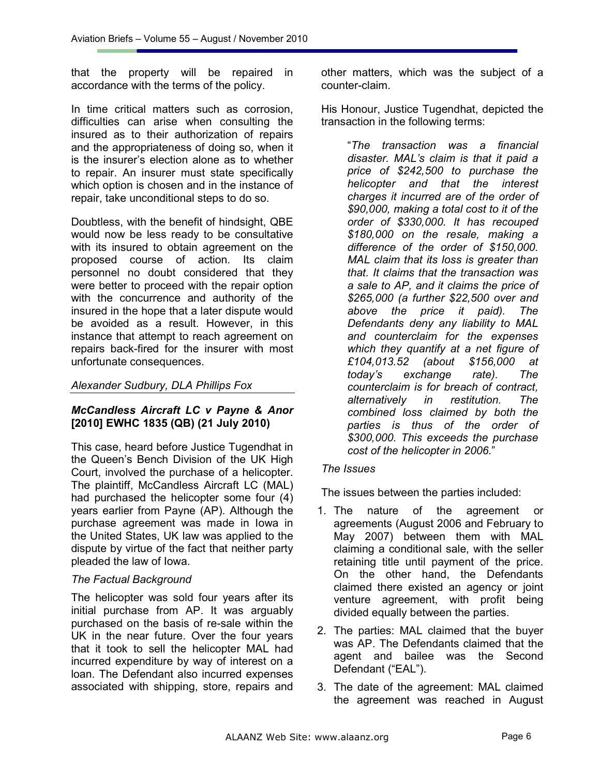that the property will be repaired in accordance with the terms of the policy.

In time critical matters such as corrosion, difficulties can arise when consulting the insured as to their authorization of repairs and the appropriateness of doing so, when it is the insurer's election alone as to whether to repair. An insurer must state specifically which option is chosen and in the instance of repair, take unconditional steps to do so.

Doubtless, with the benefit of hindsight, QBE would now be less ready to be consultative with its insured to obtain agreement on the proposed course of action. Its claim personnel no doubt considered that they were better to proceed with the repair option with the concurrence and authority of the insured in the hope that a later dispute would be avoided as a result. However, in this instance that attempt to reach agreement on repairs back-fired for the insurer with most unfortunate consequences.

### *Alexander Sudbury, DLA Phillips Fox*

## *McCandless Aircraft LC v Payne & Anor*  **[2010] EWHC 1835 (QB) (21 July 2010)**

This case, heard before Justice Tugendhat in the Queen's Bench Division of the UK High Court, involved the purchase of a helicopter. The plaintiff, McCandless Aircraft LC (MAL) had purchased the helicopter some four (4) years earlier from Payne (AP). Although the purchase agreement was made in Iowa in the United States, UK law was applied to the dispute by virtue of the fact that neither party pleaded the law of Iowa.

#### *The Factual Background*

The helicopter was sold four years after its initial purchase from AP. It was arguably purchased on the basis of re-sale within the UK in the near future. Over the four years that it took to sell the helicopter MAL had incurred expenditure by way of interest on a loan. The Defendant also incurred expenses associated with shipping, store, repairs and

other matters, which was the subject of a counter-claim.

His Honour, Justice Tugendhat, depicted the transaction in the following terms:

"*The transaction was a financial disaster. MAL's claim is that it paid a price of \$242,500 to purchase the helicopter and that the interest charges it incurred are of the order of \$90,000, making a total cost to it of the order of \$330,000. It has recouped \$180,000 on the resale, making a difference of the order of \$150,000. MAL claim that its loss is greater than that. It claims that the transaction was a sale to AP, and it claims the price of \$265,000 (a further \$22,500 over and above the price it paid). The Defendants deny any liability to MAL and counterclaim for the expenses which they quantify at a net figure of £104,013.52 (about \$156,000 at today's exchange rate). The counterclaim is for breach of contract, alternatively in restitution. The combined loss claimed by both the parties is thus of the order of \$300,000. This exceeds the purchase cost of the helicopter in 2006.*"

#### *The Issues*

The issues between the parties included:

- 1. The nature of the agreement or agreements (August 2006 and February to May 2007) between them with MAL claiming a conditional sale, with the seller retaining title until payment of the price. On the other hand, the Defendants claimed there existed an agency or joint venture agreement, with profit being divided equally between the parties.
- 2. The parties: MAL claimed that the buyer was AP. The Defendants claimed that the agent and bailee was the Second Defendant ("EAL").
- 3. The date of the agreement: MAL claimed the agreement was reached in August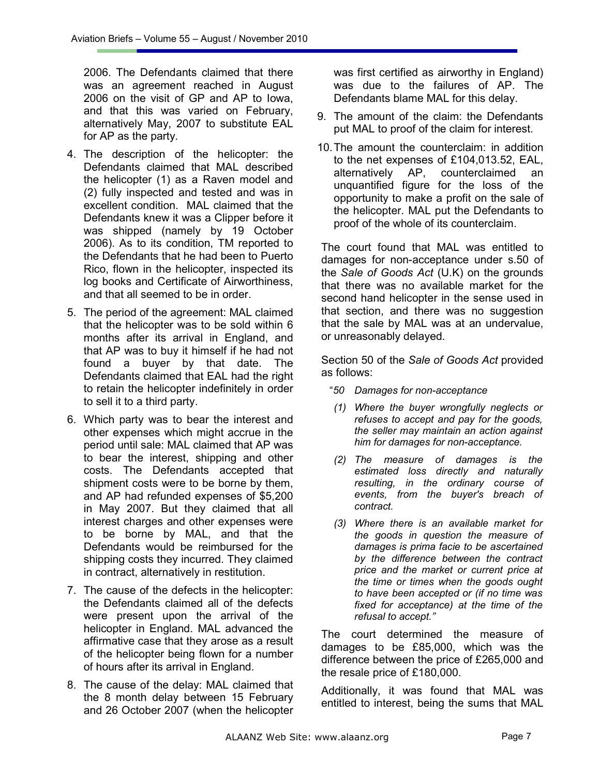2006. The Defendants claimed that there was an agreement reached in August 2006 on the visit of GP and AP to Iowa, and that this was varied on February, alternatively May, 2007 to substitute EAL for AP as the party.

- 4. The description of the helicopter: the Defendants claimed that MAL described the helicopter (1) as a Raven model and (2) fully inspected and tested and was in excellent condition. MAL claimed that the Defendants knew it was a Clipper before it was shipped (namely by 19 October 2006). As to its condition, TM reported to the Defendants that he had been to Puerto Rico, flown in the helicopter, inspected its log books and Certificate of Airworthiness, and that all seemed to be in order.
- 5. The period of the agreement: MAL claimed that the helicopter was to be sold within 6 months after its arrival in England, and that AP was to buy it himself if he had not found a buyer by that date. The Defendants claimed that EAL had the right to retain the helicopter indefinitely in order to sell it to a third party.
- 6. Which party was to bear the interest and other expenses which might accrue in the period until sale: MAL claimed that AP was to bear the interest, shipping and other costs. The Defendants accepted that shipment costs were to be borne by them, and AP had refunded expenses of \$5,200 in May 2007. But they claimed that all interest charges and other expenses were to be borne by MAL, and that the Defendants would be reimbursed for the shipping costs they incurred. They claimed in contract, alternatively in restitution.
- 7. The cause of the defects in the helicopter: the Defendants claimed all of the defects were present upon the arrival of the helicopter in England. MAL advanced the affirmative case that they arose as a result of the helicopter being flown for a number of hours after its arrival in England.
- 8. The cause of the delay: MAL claimed that the 8 month delay between 15 February and 26 October 2007 (when the helicopter

was first certified as airworthy in England) was due to the failures of AP. The Defendants blame MAL for this delay.

- 9. The amount of the claim: the Defendants put MAL to proof of the claim for interest.
- 10. The amount the counterclaim: in addition to the net expenses of £104,013.52, EAL, alternatively AP, counterclaimed an unquantified figure for the loss of the opportunity to make a profit on the sale of the helicopter. MAL put the Defendants to proof of the whole of its counterclaim.

The court found that MAL was entitled to damages for non-acceptance under s.50 of the *Sale of Goods Act* (U.K) on the grounds that there was no available market for the second hand helicopter in the sense used in that section, and there was no suggestion that the sale by MAL was at an undervalue, or unreasonably delayed.

Section 50 of the *Sale of Goods Act* provided as follows:

- "*50 Damages for non-acceptance*
- *(1) Where the buyer wrongfully neglects or refuses to accept and pay for the goods, the seller may maintain an action against him for damages for non-acceptance.*
- *(2) The measure of damages is the estimated loss directly and naturally resulting, in the ordinary course of events, from the buyer's breach of contract.*
- *(3) Where there is an available market for the goods in question the measure of damages is prima facie to be ascertained by the difference between the contract price and the market or current price at the time or times when the goods ought to have been accepted or (if no time was fixed for acceptance) at the time of the refusal to accept."*

The court determined the measure of damages to be £85,000, which was the difference between the price of £265,000 and the resale price of £180,000.

Additionally, it was found that MAL was entitled to interest, being the sums that MAL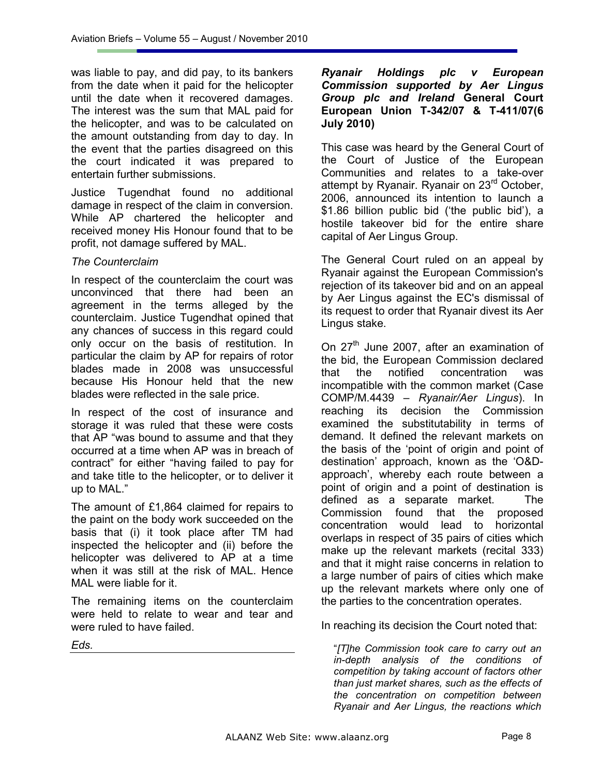was liable to pay, and did pay, to its bankers from the date when it paid for the helicopter until the date when it recovered damages. The interest was the sum that MAL paid for the helicopter, and was to be calculated on the amount outstanding from day to day. In the event that the parties disagreed on this the court indicated it was prepared to entertain further submissions.

Justice Tugendhat found no additional damage in respect of the claim in conversion. While AP chartered the helicopter and received money His Honour found that to be profit, not damage suffered by MAL.

#### *The Counterclaim*

In respect of the counterclaim the court was unconvinced that there had been an agreement in the terms alleged by the counterclaim. Justice Tugendhat opined that any chances of success in this regard could only occur on the basis of restitution. In particular the claim by AP for repairs of rotor blades made in 2008 was unsuccessful because His Honour held that the new blades were reflected in the sale price.

In respect of the cost of insurance and storage it was ruled that these were costs that AP "was bound to assume and that they occurred at a time when AP was in breach of contract" for either "having failed to pay for and take title to the helicopter, or to deliver it up to MAL."

The amount of £1,864 claimed for repairs to the paint on the body work succeeded on the basis that (i) it took place after TM had inspected the helicopter and (ii) before the helicopter was delivered to AP at a time when it was still at the risk of MAL. Hence MAL were liable for it.

The remaining items on the counterclaim were held to relate to wear and tear and were ruled to have failed.

*Eds.* 

#### *Ryanair Holdings plc v European Commission supported by Aer Lingus Group plc and Ireland* **General Court European Union T-342/07 & T-411/07(6 July 2010)**

This case was heard by the General Court of the Court of Justice of the European Communities and relates to a take-over attempt by Ryanair. Ryanair on 23<sup>rd</sup> October, 2006, announced its intention to launch a \$1.86 billion public bid ('the public bid'), a hostile takeover bid for the entire share capital of Aer Lingus Group.

The General Court ruled on an appeal by Ryanair against the European Commission's rejection of its takeover bid and on an appeal by Aer Lingus against the EC's dismissal of its request to order that Ryanair divest its Aer Lingus stake.

On 27<sup>th</sup> June 2007, after an examination of the bid, the European Commission declared that the notified concentration was incompatible with the common market (Case COMP/M.4439 – *Ryanair/Aer Lingus*). In reaching its decision the Commission examined the substitutability in terms of demand. It defined the relevant markets on the basis of the 'point of origin and point of destination' approach, known as the 'O&Dapproach', whereby each route between a point of origin and a point of destination is defined as a separate market. The Commission found that the proposed concentration would lead to horizontal overlaps in respect of 35 pairs of cities which make up the relevant markets (recital 333) and that it might raise concerns in relation to a large number of pairs of cities which make up the relevant markets where only one of the parties to the concentration operates.

In reaching its decision the Court noted that:

"*[T]he Commission took care to carry out an in-depth analysis of the conditions of competition by taking account of factors other than just market shares, such as the effects of the concentration on competition between Ryanair and Aer Lingus, the reactions which*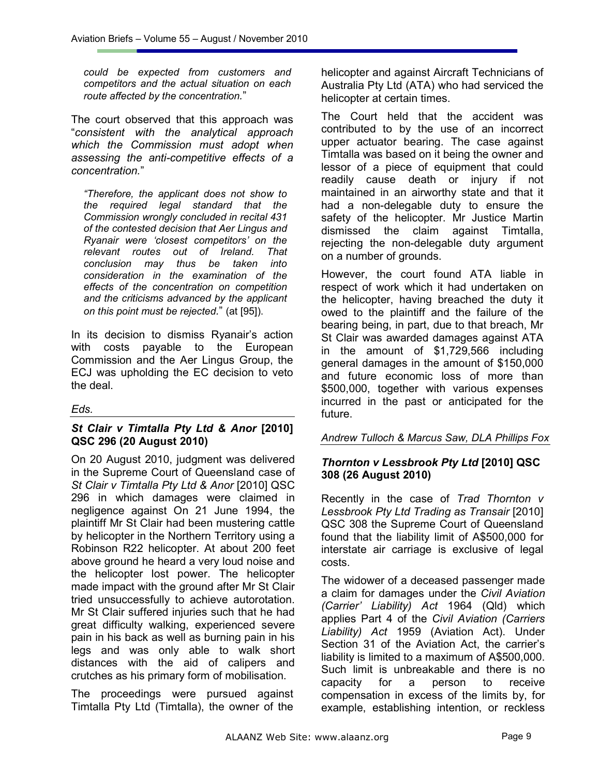*could be expected from customers and competitors and the actual situation on each route affected by the concentration.*"

The court observed that this approach was "*consistent with the analytical approach which the Commission must adopt when assessing the anti-competitive effects of a concentration.*"

*"Therefore, the applicant does not show to the required legal standard that the Commission wrongly concluded in recital 431 of the contested decision that Aer Lingus and Ryanair were 'closest competitors' on the relevant routes out of Ireland. That conclusion may thus be taken into consideration in the examination of the effects of the concentration on competition and the criticisms advanced by the applicant on this point must be rejected.*" (at [95]).

In its decision to dismiss Ryanair's action with costs payable to the European Commission and the Aer Lingus Group, the ECJ was upholding the EC decision to veto the deal.

#### *Eds.*

## *St Clair v Timtalla Pty Ltd & Anor* **[2010] QSC 296 (20 August 2010)**

On 20 August 2010, judgment was delivered in the Supreme Court of Queensland case of *St Clair v Timtalla Pty Ltd & Anor* [2010] QSC 296 in which damages were claimed in negligence against On 21 June 1994, the plaintiff Mr St Clair had been mustering cattle by helicopter in the Northern Territory using a Robinson R22 helicopter. At about 200 feet above ground he heard a very loud noise and the helicopter lost power. The helicopter made impact with the ground after Mr St Clair tried unsuccessfully to achieve autorotation. Mr St Clair suffered injuries such that he had great difficulty walking, experienced severe pain in his back as well as burning pain in his legs and was only able to walk short distances with the aid of calipers and crutches as his primary form of mobilisation.

The proceedings were pursued against Timtalla Pty Ltd (Timtalla), the owner of the helicopter and against Aircraft Technicians of Australia Pty Ltd (ATA) who had serviced the helicopter at certain times.

The Court held that the accident was contributed to by the use of an incorrect upper actuator bearing. The case against Timtalla was based on it being the owner and lessor of a piece of equipment that could readily cause death or injury if not maintained in an airworthy state and that it had a non-delegable duty to ensure the safety of the helicopter. Mr Justice Martin dismissed the claim against Timtalla, rejecting the non-delegable duty argument on a number of grounds.

However, the court found ATA liable in respect of work which it had undertaken on the helicopter, having breached the duty it owed to the plaintiff and the failure of the bearing being, in part, due to that breach, Mr St Clair was awarded damages against ATA in the amount of \$1,729,566 including general damages in the amount of \$150,000 and future economic loss of more than \$500,000, together with various expenses incurred in the past or anticipated for the future.

*Andrew Tulloch & Marcus Saw, DLA Phillips Fox* 

## *Thornton v Lessbrook Pty Ltd* **[2010] QSC 308 (26 August 2010)**

Recently in the case of *Trad Thornton v Lessbrook Pty Ltd Trading as Transair* [2010] QSC 308 the Supreme Court of Queensland found that the liability limit of A\$500,000 for interstate air carriage is exclusive of legal costs.

The widower of a deceased passenger made a claim for damages under the *Civil Aviation (Carrier' Liability) Act* 1964 (Qld) which applies Part 4 of the *Civil Aviation (Carriers Liability) Act* 1959 (Aviation Act). Under Section 31 of the Aviation Act, the carrier's liability is limited to a maximum of A\$500,000. Such limit is unbreakable and there is no capacity for a person to receive compensation in excess of the limits by, for example, establishing intention, or reckless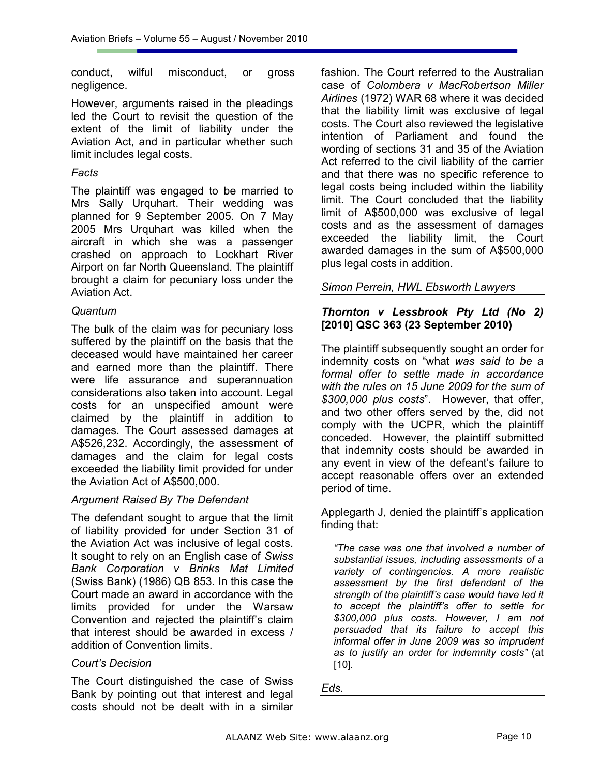conduct, wilful misconduct, or gross negligence.

However, arguments raised in the pleadings led the Court to revisit the question of the extent of the limit of liability under the Aviation Act, and in particular whether such limit includes legal costs.

## *Facts*

The plaintiff was engaged to be married to Mrs Sally Urquhart. Their wedding was planned for 9 September 2005. On 7 May 2005 Mrs Urquhart was killed when the aircraft in which she was a passenger crashed on approach to Lockhart River Airport on far North Queensland. The plaintiff brought a claim for pecuniary loss under the Aviation Act.

## *Quantum*

The bulk of the claim was for pecuniary loss suffered by the plaintiff on the basis that the deceased would have maintained her career and earned more than the plaintiff. There were life assurance and superannuation considerations also taken into account. Legal costs for an unspecified amount were claimed by the plaintiff in addition to damages. The Court assessed damages at A\$526,232. Accordingly, the assessment of damages and the claim for legal costs exceeded the liability limit provided for under the Aviation Act of A\$500,000.

#### *Argument Raised By The Defendant*

The defendant sought to argue that the limit of liability provided for under Section 31 of the Aviation Act was inclusive of legal costs. It sought to rely on an English case of *Swiss Bank Corporation v Brinks Mat Limited* (Swiss Bank) (1986) QB 853. In this case the Court made an award in accordance with the limits provided for under the Warsaw Convention and rejected the plaintiff's claim that interest should be awarded in excess / addition of Convention limits.

#### *Court's Decision*

The Court distinguished the case of Swiss Bank by pointing out that interest and legal costs should not be dealt with in a similar

fashion. The Court referred to the Australian case of *Colombera v MacRobertson Miller Airlines* (1972) WAR 68 where it was decided that the liability limit was exclusive of legal costs. The Court also reviewed the legislative intention of Parliament and found the wording of sections 31 and 35 of the Aviation Act referred to the civil liability of the carrier and that there was no specific reference to legal costs being included within the liability limit. The Court concluded that the liability limit of A\$500,000 was exclusive of legal costs and as the assessment of damages exceeded the liability limit, the Court awarded damages in the sum of A\$500,000 plus legal costs in addition.

## *Simon Perrein, HWL Ebsworth Lawyers*

### *Thornton v Lessbrook Pty Ltd (No 2)*  **[2010] QSC 363 (23 September 2010)**

The plaintiff subsequently sought an order for indemnity costs on "what *was said to be a formal offer to settle made in accordance with the rules on 15 June 2009 for the sum of \$300,000 plus costs*". However, that offer, and two other offers served by the, did not comply with the UCPR, which the plaintiff conceded. However, the plaintiff submitted that indemnity costs should be awarded in any event in view of the defeant's failure to accept reasonable offers over an extended period of time.

Applegarth J, denied the plaintiff's application finding that:

*"The case was one that involved a number of substantial issues, including assessments of a variety of contingencies. A more realistic assessment by the first defendant of the strength of the plaintiff's case would have led it to accept the plaintiff's offer to settle for \$300,000 plus costs. However, I am not persuaded that its failure to accept this informal offer in June 2009 was so imprudent as to justify an order for indemnity costs"* (at [10]*.*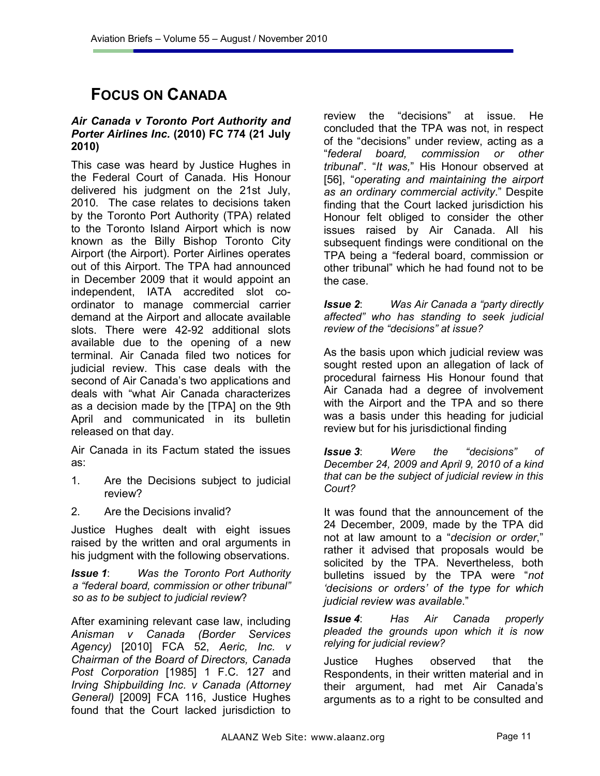# **FOCUS ON CANADA**

## *Air Canada v Toronto Port Authority and Porter Airlines Inc.* **(2010) FC 774 (21 July 2010)**

This case was heard by Justice Hughes in the Federal Court of Canada. His Honour delivered his judgment on the 21st July, 2010. The case relates to decisions taken by the Toronto Port Authority (TPA) related to the Toronto Island Airport which is now known as the Billy Bishop Toronto City Airport (the Airport). Porter Airlines operates out of this Airport. The TPA had announced in December 2009 that it would appoint an independent, IATA accredited slot coordinator to manage commercial carrier demand at the Airport and allocate available slots. There were 42-92 additional slots available due to the opening of a new terminal. Air Canada filed two notices for judicial review. This case deals with the second of Air Canada's two applications and deals with "what Air Canada characterizes as a decision made by the [TPA] on the 9th April and communicated in its bulletin released on that day.

Air Canada in its Factum stated the issues as:

- 1. Are the Decisions subject to judicial review?
- 2. Are the Decisions invalid?

Justice Hughes dealt with eight issues raised by the written and oral arguments in his judgment with the following observations.

*Issue 1*: *Was the Toronto Port Authority a "federal board, commission or other tribunal" so as to be subject to judicial review*?

After examining relevant case law, including *Anisman v Canada (Border Services Agency)* [2010] FCA 52, *Aeric, Inc. v Chairman of the Board of Directors, Canada Post Corporation* [1985] 1 F.C. 127 and *Irving Shipbuilding Inc. v Canada (Attorney General)* [2009] FCA 116, Justice Hughes found that the Court lacked jurisdiction to

review the "decisions" at issue. He concluded that the TPA was not, in respect of the "decisions" under review, acting as a "*federal board, commission or other tribunal*". "*It was,*" His Honour observed at [56], "*operating and maintaining the airport as an ordinary commercial activity*." Despite finding that the Court lacked jurisdiction his Honour felt obliged to consider the other issues raised by Air Canada. All his subsequent findings were conditional on the TPA being a "federal board, commission or other tribunal" which he had found not to be the case.

*Issue 2*: *Was Air Canada a "party directly affected" who has standing to seek judicial review of the "decisions" at issue?*

As the basis upon which judicial review was sought rested upon an allegation of lack of procedural fairness His Honour found that Air Canada had a degree of involvement with the Airport and the TPA and so there was a basis under this heading for judicial review but for his jurisdictional finding

*Issue 3*: *Were the "decisions" of December 24, 2009 and April 9, 2010 of a kind that can be the subject of judicial review in this Court?*

It was found that the announcement of the 24 December, 2009, made by the TPA did not at law amount to a "*decision or order*," rather it advised that proposals would be solicited by the TPA. Nevertheless, both bulletins issued by the TPA were "*not 'decisions or orders' of the type for which judicial review was available*."

*Issue 4*: *Has Air Canada properly pleaded the grounds upon which it is now relying for judicial review?*

Justice Hughes observed that the Respondents, in their written material and in their argument, had met Air Canada's arguments as to a right to be consulted and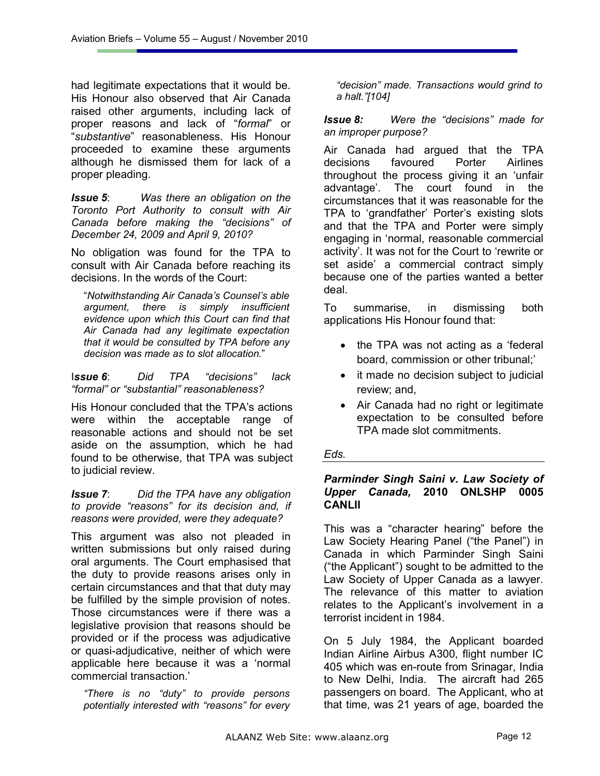had legitimate expectations that it would be. His Honour also observed that Air Canada raised other arguments, including lack of proper reasons and lack of "*formal*" or "*substantive*" reasonableness. His Honour proceeded to examine these arguments although he dismissed them for lack of a proper pleading.

*Issue 5*: *Was there an obligation on the Toronto Port Authority to consult with Air Canada before making the "decisions" of December 24, 2009 and April 9, 2010?*

No obligation was found for the TPA to consult with Air Canada before reaching its decisions. In the words of the Court:

"*Notwithstanding Air Canada's Counsel's able argument, there is simply insufficient evidence upon which this Court can find that Air Canada had any legitimate expectation that it would be consulted by TPA before any decision was made as to slot allocation.*"

I*ssue 6*: *Did TPA "decisions" lack "formal" or "substantial" reasonableness?*

His Honour concluded that the TPA's actions were within the acceptable range of reasonable actions and should not be set aside on the assumption, which he had found to be otherwise, that TPA was subject to judicial review.

#### *Issue 7*: *Did the TPA have any obligation to provide "reasons" for its decision and, if reasons were provided, were they adequate?*

This argument was also not pleaded in written submissions but only raised during oral arguments. The Court emphasised that the duty to provide reasons arises only in certain circumstances and that that duty may be fulfilled by the simple provision of notes. Those circumstances were if there was a legislative provision that reasons should be provided or if the process was adjudicative or quasi-adjudicative, neither of which were applicable here because it was a 'normal commercial transaction.'

*"There is no "duty" to provide persons potentially interested with "reasons" for every* 

*"decision" made. Transactions would grind to a halt."[104]* 

*Issue 8: Were the "decisions" made for an improper purpose?* 

Air Canada had argued that the TPA decisions favoured Porter Airlines throughout the process giving it an 'unfair advantage'. The court found in the circumstances that it was reasonable for the TPA to 'grandfather' Porter's existing slots and that the TPA and Porter were simply engaging in 'normal, reasonable commercial activity'. It was not for the Court to 'rewrite or set aside' a commercial contract simply because one of the parties wanted a better deal.

To summarise, in dismissing both applications His Honour found that:

- the TPA was not acting as a 'federal board, commission or other tribunal;'
- it made no decision subject to judicial review; and,
- Air Canada had no right or legitimate expectation to be consulted before TPA made slot commitments.

## *Eds.*

#### *Parminder Singh Saini v. Law Society of Upper Canada,* **2010 ONLSHP 0005 CANLII**

This was a "character hearing" before the Law Society Hearing Panel ("the Panel") in Canada in which Parminder Singh Saini ("the Applicant") sought to be admitted to the Law Society of Upper Canada as a lawyer. The relevance of this matter to aviation relates to the Applicant's involvement in a terrorist incident in 1984.

On 5 July 1984, the Applicant boarded Indian Airline Airbus A300, flight number IC 405 which was en-route from Srinagar, India to New Delhi, India. The aircraft had 265 passengers on board. The Applicant, who at that time, was 21 years of age, boarded the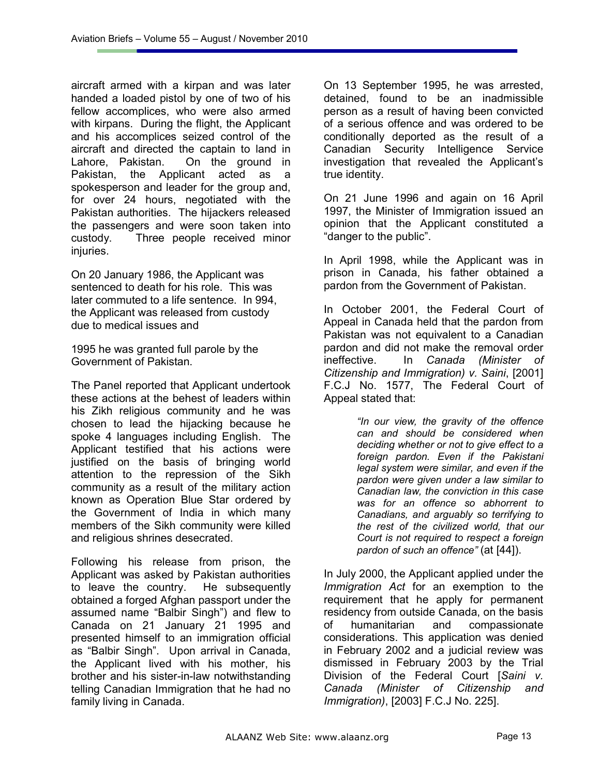aircraft armed with a kirpan and was later handed a loaded pistol by one of two of his fellow accomplices, who were also armed with kirpans. During the flight, the Applicant and his accomplices seized control of the aircraft and directed the captain to land in Lahore, Pakistan. On the ground in Pakistan, the Applicant acted as a spokesperson and leader for the group and, for over 24 hours, negotiated with the Pakistan authorities. The hijackers released the passengers and were soon taken into custody. Three people received minor injuries.

On 20 January 1986, the Applicant was sentenced to death for his role. This was later commuted to a life sentence. In 994, the Applicant was released from custody due to medical issues and

1995 he was granted full parole by the Government of Pakistan.

The Panel reported that Applicant undertook these actions at the behest of leaders within his Zikh religious community and he was chosen to lead the hijacking because he spoke 4 languages including English. The Applicant testified that his actions were justified on the basis of bringing world attention to the repression of the Sikh community as a result of the military action known as Operation Blue Star ordered by the Government of India in which many members of the Sikh community were killed and religious shrines desecrated.

Following his release from prison, the Applicant was asked by Pakistan authorities to leave the country. He subsequently obtained a forged Afghan passport under the assumed name "Balbir Singh") and flew to Canada on 21 January 21 1995 and presented himself to an immigration official as "Balbir Singh". Upon arrival in Canada, the Applicant lived with his mother, his brother and his sister-in-law notwithstanding telling Canadian Immigration that he had no family living in Canada.

On 13 September 1995, he was arrested, detained, found to be an inadmissible person as a result of having been convicted of a serious offence and was ordered to be conditionally deported as the result of a Canadian Security Intelligence Service investigation that revealed the Applicant's true identity.

On 21 June 1996 and again on 16 April 1997, the Minister of Immigration issued an opinion that the Applicant constituted a "danger to the public".

In April 1998, while the Applicant was in prison in Canada, his father obtained a pardon from the Government of Pakistan.

In October 2001, the Federal Court of Appeal in Canada held that the pardon from Pakistan was not equivalent to a Canadian pardon and did not make the removal order ineffective. In *Canada (Minister of Citizenship and Immigration) v. Saini*, [2001] F.C.J No. 1577, The Federal Court of Appeal stated that:

> *"In our view, the gravity of the offence can and should be considered when deciding whether or not to give effect to a foreign pardon. Even if the Pakistani legal system were similar, and even if the pardon were given under a law similar to Canadian law, the conviction in this case was for an offence so abhorrent to Canadians, and arguably so terrifying to the rest of the civilized world, that our Court is not required to respect a foreign pardon of such an offence"* (at [44]).

In July 2000, the Applicant applied under the *Immigration Act* for an exemption to the requirement that he apply for permanent residency from outside Canada, on the basis of humanitarian and compassionate considerations. This application was denied in February 2002 and a judicial review was dismissed in February 2003 by the Trial Division of the Federal Court [*Saini v. Canada (Minister of Citizenship and Immigration)*, [2003] F.C.J No. 225].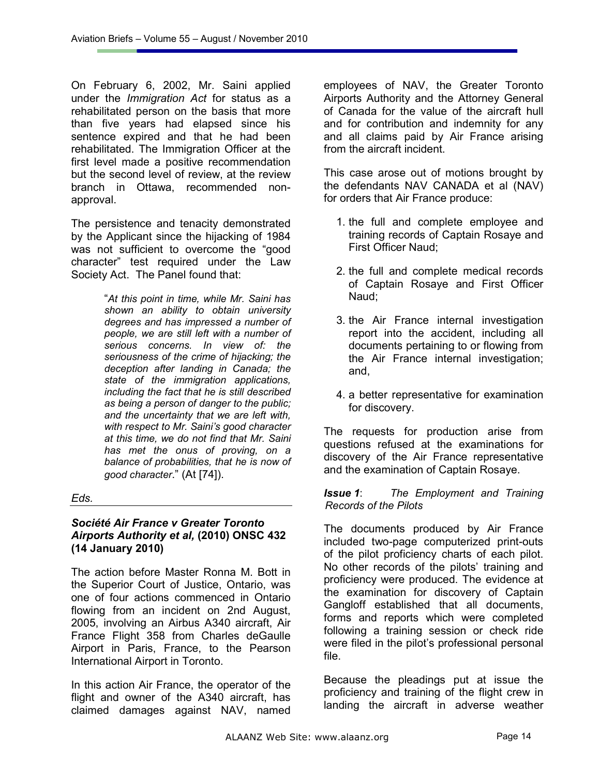On February 6, 2002, Mr. Saini applied under the *Immigration Act* for status as a rehabilitated person on the basis that more than five years had elapsed since his sentence expired and that he had been rehabilitated. The Immigration Officer at the first level made a positive recommendation but the second level of review, at the review branch in Ottawa, recommended nonapproval.

The persistence and tenacity demonstrated by the Applicant since the hijacking of 1984 was not sufficient to overcome the "good character" test required under the Law Society Act. The Panel found that:

> "*At this point in time, while Mr. Saini has shown an ability to obtain university degrees and has impressed a number of people, we are still left with a number of serious concerns. In view of: the seriousness of the crime of hijacking; the deception after landing in Canada; the state of the immigration applications, including the fact that he is still described as being a person of danger to the public; and the uncertainty that we are left with, with respect to Mr. Saini's good character at this time, we do not find that Mr. Saini has met the onus of proving, on a balance of probabilities, that he is now of good character*." (At [74]).

#### *Eds.*

#### *Société Air France v Greater Toronto Airports Authority et al,* **(2010) ONSC 432 (14 January 2010)**

The action before Master Ronna M. Bott in the Superior Court of Justice, Ontario, was one of four actions commenced in Ontario flowing from an incident on 2nd August, 2005, involving an Airbus A340 aircraft, Air France Flight 358 from Charles deGaulle Airport in Paris, France, to the Pearson International Airport in Toronto.

In this action Air France, the operator of the flight and owner of the A340 aircraft, has claimed damages against NAV, named employees of NAV, the Greater Toronto Airports Authority and the Attorney General of Canada for the value of the aircraft hull and for contribution and indemnity for any and all claims paid by Air France arising from the aircraft incident.

This case arose out of motions brought by the defendants NAV CANADA et al (NAV) for orders that Air France produce:

- 1. the full and complete employee and training records of Captain Rosaye and First Officer Naud;
- 2. the full and complete medical records of Captain Rosaye and First Officer Naud;
- 3. the Air France internal investigation report into the accident, including all documents pertaining to or flowing from the Air France internal investigation; and,
- 4. a better representative for examination for discovery.

The requests for production arise from questions refused at the examinations for discovery of the Air France representative and the examination of Captain Rosaye.

#### *Issue 1*: *The Employment and Training Records of the Pilots*

The documents produced by Air France included two-page computerized print-outs of the pilot proficiency charts of each pilot. No other records of the pilots' training and proficiency were produced. The evidence at the examination for discovery of Captain Gangloff established that all documents, forms and reports which were completed following a training session or check ride were filed in the pilot's professional personal file.

Because the pleadings put at issue the proficiency and training of the flight crew in landing the aircraft in adverse weather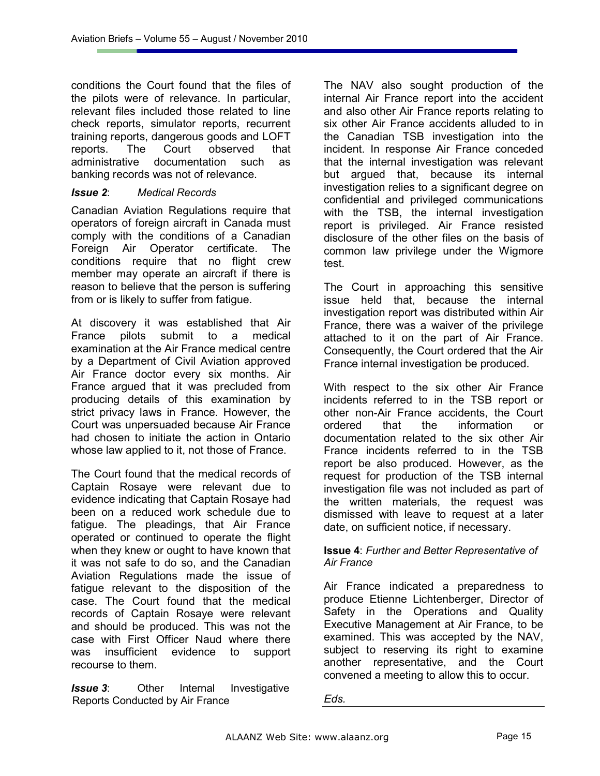conditions the Court found that the files of the pilots were of relevance. In particular, relevant files included those related to line check reports, simulator reports, recurrent training reports, dangerous goods and LOFT reports. The Court observed that administrative documentation such as banking records was not of relevance.

#### *Issue 2*: *Medical Records*

Canadian Aviation Regulations require that operators of foreign aircraft in Canada must comply with the conditions of a Canadian Foreign Air Operator certificate. The conditions require that no flight crew member may operate an aircraft if there is reason to believe that the person is suffering from or is likely to suffer from fatigue.

At discovery it was established that Air France pilots submit to a medical examination at the Air France medical centre by a Department of Civil Aviation approved Air France doctor every six months. Air France argued that it was precluded from producing details of this examination by strict privacy laws in France. However, the Court was unpersuaded because Air France had chosen to initiate the action in Ontario whose law applied to it, not those of France.

The Court found that the medical records of Captain Rosaye were relevant due to evidence indicating that Captain Rosaye had been on a reduced work schedule due to fatigue. The pleadings, that Air France operated or continued to operate the flight when they knew or ought to have known that it was not safe to do so, and the Canadian Aviation Regulations made the issue of fatigue relevant to the disposition of the case. The Court found that the medical records of Captain Rosaye were relevant and should be produced. This was not the case with First Officer Naud where there was insufficient evidence to support recourse to them.

*Issue 3***:** Other Internal Investigative Reports Conducted by Air France

The NAV also sought production of the internal Air France report into the accident and also other Air France reports relating to six other Air France accidents alluded to in the Canadian TSB investigation into the incident. In response Air France conceded that the internal investigation was relevant but argued that, because its internal investigation relies to a significant degree on confidential and privileged communications with the TSB, the internal investigation report is privileged. Air France resisted disclosure of the other files on the basis of common law privilege under the Wigmore test.

The Court in approaching this sensitive issue held that, because the internal investigation report was distributed within Air France, there was a waiver of the privilege attached to it on the part of Air France. Consequently, the Court ordered that the Air France internal investigation be produced.

With respect to the six other Air France incidents referred to in the TSB report or other non-Air France accidents, the Court ordered that the information or documentation related to the six other Air France incidents referred to in the TSB report be also produced. However, as the request for production of the TSB internal investigation file was not included as part of the written materials, the request was dismissed with leave to request at a later date, on sufficient notice, if necessary.

#### **Issue 4**: *Further and Better Representative of Air France*

Air France indicated a preparedness to produce Etienne Lichtenberger, Director of Safety in the Operations and Quality Executive Management at Air France, to be examined. This was accepted by the NAV, subject to reserving its right to examine another representative, and the Court convened a meeting to allow this to occur.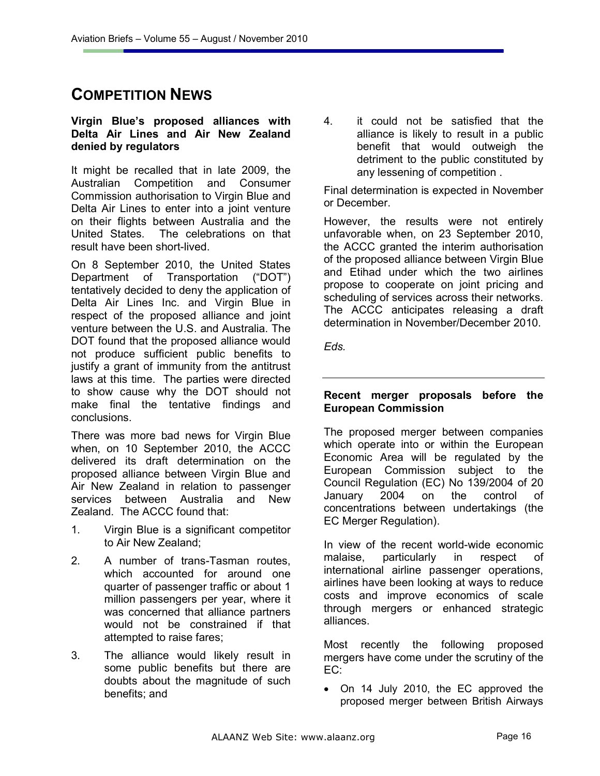## **COMPETITION NEWS**

#### **Virgin Blue's proposed alliances with Delta Air Lines and Air New Zealand denied by regulators**

It might be recalled that in late 2009, the Australian Competition and Consumer Commission authorisation to Virgin Blue and Delta Air Lines to enter into a joint venture on their flights between Australia and the United States. The celebrations on that result have been short-lived.

On 8 September 2010, the United States Department of Transportation ("DOT") tentatively decided to deny the application of Delta Air Lines Inc. and Virgin Blue in respect of the proposed alliance and joint venture between the U.S. and Australia. The DOT found that the proposed alliance would not produce sufficient public benefits to justify a grant of immunity from the antitrust laws at this time. The parties were directed to show cause why the DOT should not make final the tentative findings and conclusions.

There was more bad news for Virgin Blue when, on 10 September 2010, the ACCC delivered its draft determination on the proposed alliance between Virgin Blue and Air New Zealand in relation to passenger services between Australia and New Zealand. The ACCC found that:

- 1. Virgin Blue is a significant competitor to Air New Zealand;
- 2. A number of trans-Tasman routes, which accounted for around one quarter of passenger traffic or about 1 million passengers per year, where it was concerned that alliance partners would not be constrained if that attempted to raise fares;
- 3. The alliance would likely result in some public benefits but there are doubts about the magnitude of such benefits; and

4. it could not be satisfied that the alliance is likely to result in a public benefit that would outweigh the detriment to the public constituted by any lessening of competition .

Final determination is expected in November or December.

However, the results were not entirely unfavorable when, on 23 September 2010, the ACCC granted the interim authorisation of the proposed alliance between Virgin Blue and Etihad under which the two airlines propose to cooperate on joint pricing and scheduling of services across their networks. The ACCC anticipates releasing a draft determination in November/December 2010.

*Eds.* 

## **Recent merger proposals before the European Commission**

The proposed merger between companies which operate into or within the European Economic Area will be regulated by the European Commission subject to the Council Regulation (EC) No 139/2004 of 20 January 2004 on the control of concentrations between undertakings (the EC Merger Regulation).

In view of the recent world-wide economic malaise, particularly in respect of international airline passenger operations, airlines have been looking at ways to reduce costs and improve economics of scale through mergers or enhanced strategic alliances.

Most recently the following proposed mergers have come under the scrutiny of the EC:

• On 14 July 2010, the EC approved the proposed merger between British Airways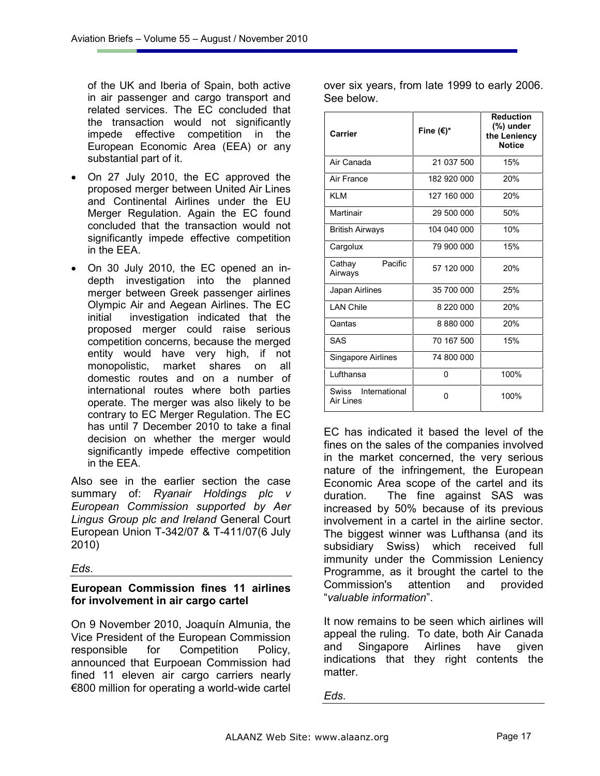of the UK and Iberia of Spain, both active in air passenger and cargo transport and related services. The EC concluded that the transaction would not significantly impede effective competition in the European Economic Area (EEA) or any substantial part of it.

- On 27 July 2010, the EC approved the proposed merger between United Air Lines and Continental Airlines under the EU Merger Regulation. Again the EC found concluded that the transaction would not significantly impede effective competition in the EEA.
- On 30 July 2010, the EC opened an indepth investigation into the planned merger between Greek passenger airlines Olympic Air and Aegean Airlines. The EC initial investigation indicated that the proposed merger could raise serious competition concerns, because the merged entity would have very high, if not monopolistic, market shares on all domestic routes and on a number of international routes where both parties operate. The merger was also likely to be contrary to EC Merger Regulation. The EC has until 7 December 2010 to take a final decision on whether the merger would significantly impede effective competition in the EEA.

Also see in the earlier section the case summary of: *Ryanair Holdings plc v European Commission supported by Aer Lingus Group plc and Ireland* General Court European Union T-342/07 & T-411/07(6 July 2010)

*Eds*.

## **European Commission fines 11 airlines for involvement in air cargo cartel**

On 9 November 2010, Joaquín Almunia, the Vice President of the European Commission responsible for Competition Policy, announced that Eurpoean Commission had fined 11 eleven air cargo carriers nearly €800 million for operating a world-wide cartel over six years, from late 1999 to early 2006. See below.

| Carrier                          | Fine $(\epsilon)^*$ | <b>Reduction</b><br>(%) under<br>the Leniency<br><b>Notice</b> |
|----------------------------------|---------------------|----------------------------------------------------------------|
| Air Canada                       | 21 037 500          | 15%                                                            |
| Air France                       | 182 920 000         | 20%                                                            |
| <b>KLM</b>                       | 127 160 000         | 20%                                                            |
| Martinair                        | 29 500 000          | 50%                                                            |
| <b>British Airways</b>           | 104 040 000         | 10%                                                            |
| Cargolux                         | 79 900 000          | 15%                                                            |
| Pacific<br>Cathay<br>Airways     | 57 120 000          | 20%                                                            |
| Japan Airlines                   | 35 700 000          | 25%                                                            |
| <b>LAN Chile</b>                 | 8 2 2 0 0 0 0       | 20%                                                            |
| Qantas                           | 8880000             | 20%                                                            |
| SAS                              | 70 167 500          | 15%                                                            |
| Singapore Airlines               | 74 800 000          |                                                                |
| Lufthansa                        | 0                   | 100%                                                           |
| Swiss International<br>Air Lines | 0                   | 100%                                                           |

EC has indicated it based the level of the fines on the sales of the companies involved in the market concerned, the very serious nature of the infringement, the European Economic Area scope of the cartel and its duration. The fine against SAS was increased by 50% because of its previous involvement in a cartel in the airline sector. The biggest winner was Lufthansa (and its subsidiary Swiss) which received full immunity under the Commission Leniency Programme, as it brought the cartel to the Commission's attention and provided "*valuable information*".

It now remains to be seen which airlines will appeal the ruling. To date, both Air Canada and Singapore Airlines have given indications that they right contents the matter.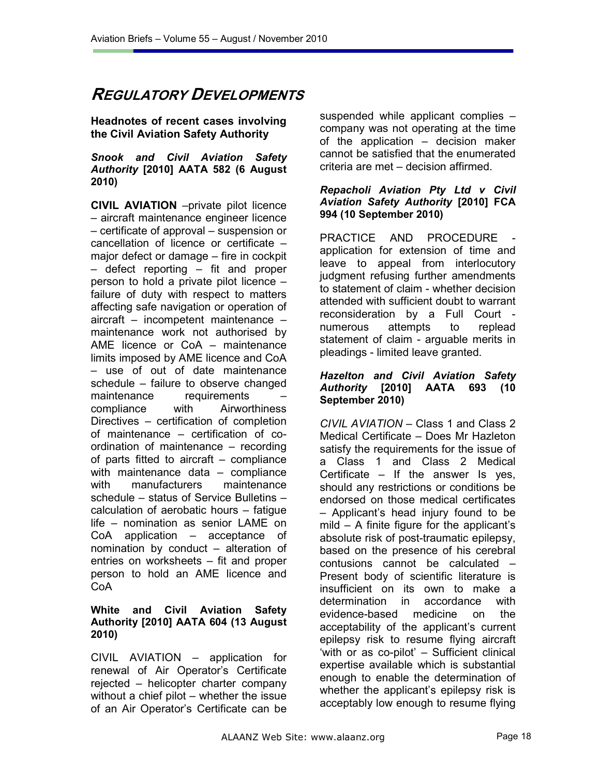## **REGULATORY DEVELOPMENTS**

## **Headnotes of recent cases involving the Civil Aviation Safety Authority**

#### *Snook and Civil Aviation Safety Authority* **[2010] AATA 582 (6 August 2010)**

**CIVIL AVIATION** –private pilot licence – aircraft maintenance engineer licence – certificate of approval – suspension or cancellation of licence or certificate – major defect or damage – fire in cockpit – defect reporting – fit and proper person to hold a private pilot licence – failure of duty with respect to matters affecting safe navigation or operation of aircraft – incompetent maintenance – maintenance work not authorised by AME licence or CoA – maintenance limits imposed by AME licence and CoA – use of out of date maintenance schedule – failure to observe changed maintenance requirements compliance with Airworthiness Directives – certification of completion of maintenance – certification of coordination of maintenance – recording of parts fitted to aircraft – compliance with maintenance data – compliance with manufacturers maintenance schedule – status of Service Bulletins – calculation of aerobatic hours – fatigue life – nomination as senior LAME on CoA application – acceptance of nomination by conduct – alteration of entries on worksheets – fit and proper person to hold an AME licence and CoA

#### **White and Civil Aviation Safety Authority [2010] AATA 604 (13 August 2010)**

CIVIL AVIATION – application for renewal of Air Operator's Certificate rejected – helicopter charter company without a chief pilot – whether the issue of an Air Operator's Certificate can be suspended while applicant complies – company was not operating at the time of the application – decision maker cannot be satisfied that the enumerated criteria are met – decision affirmed.

#### *Repacholi Aviation Pty Ltd v Civil Aviation Safety Authority* **[2010] FCA 994 (10 September 2010)**

PRACTICE AND PROCEDURE application for extension of time and leave to appeal from interlocutory judgment refusing further amendments to statement of claim - whether decision attended with sufficient doubt to warrant reconsideration by a Full Court numerous attempts to replead statement of claim - arguable merits in pleadings - limited leave granted.

#### *Hazelton and Civil Aviation Safety Authority* **[2010] AATA 693 (10 September 2010)**

*CIVIL AVIATION* – Class 1 and Class 2 Medical Certificate – Does Mr Hazleton satisfy the requirements for the issue of a Class 1 and Class 2 Medical Certificate – If the answer Is yes, should any restrictions or conditions be endorsed on those medical certificates – Applicant's head injury found to be mild – A finite figure for the applicant's absolute risk of post-traumatic epilepsy, based on the presence of his cerebral contusions cannot be calculated – Present body of scientific literature is insufficient on its own to make a determination in accordance with evidence-based medicine on the acceptability of the applicant's current epilepsy risk to resume flying aircraft 'with or as co-pilot' – Sufficient clinical expertise available which is substantial enough to enable the determination of whether the applicant's epilepsy risk is acceptably low enough to resume flying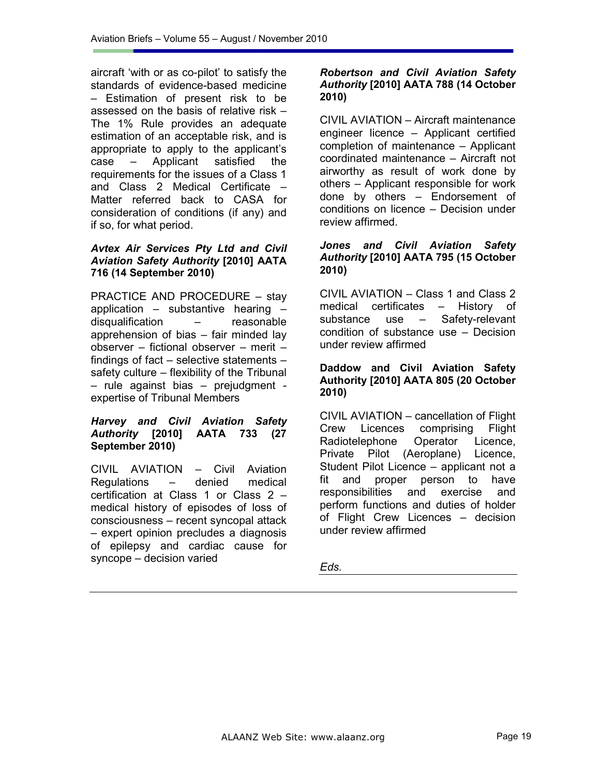aircraft 'with or as co-pilot' to satisfy the standards of evidence-based medicine – Estimation of present risk to be assessed on the basis of relative risk – The 1% Rule provides an adequate estimation of an acceptable risk, and is appropriate to apply to the applicant's case – Applicant satisfied the requirements for the issues of a Class 1 and Class 2 Medical Certificate – Matter referred back to CASA for consideration of conditions (if any) and if so, for what period.

#### *Avtex Air Services Pty Ltd and Civil Aviation Safety Authority* **[2010] AATA 716 (14 September 2010)**

PRACTICE AND PROCEDURE – stay application – substantive hearing – disqualification – reasonable apprehension of bias – fair minded lay observer – fictional observer – merit – findings of fact – selective statements – safety culture – flexibility of the Tribunal – rule against bias – prejudgment expertise of Tribunal Members

#### *Harvey and Civil Aviation Safety Authority* **[2010] AATA 733 (27 September 2010)**

CIVIL AVIATION – Civil Aviation Regulations – denied medical certification at Class 1 or Class 2 – medical history of episodes of loss of consciousness – recent syncopal attack – expert opinion precludes a diagnosis of epilepsy and cardiac cause for syncope – decision varied

#### *Robertson and Civil Aviation Safety Authority* **[2010] AATA 788 (14 October 2010)**

CIVIL AVIATION – Aircraft maintenance engineer licence – Applicant certified completion of maintenance – Applicant coordinated maintenance – Aircraft not airworthy as result of work done by others – Applicant responsible for work done by others – Endorsement of conditions on licence – Decision under review affirmed.

### *Jones and Civil Aviation Safety Authority* **[2010] AATA 795 (15 October 2010)**

CIVIL AVIATION – Class 1 and Class 2 medical certificates – History of substance use – Safety-relevant condition of substance use – Decision under review affirmed

#### **Daddow and Civil Aviation Safety Authority [2010] AATA 805 (20 October 2010)**

CIVIL AVIATION – cancellation of Flight Crew Licences comprising Flight Radiotelephone Operator Licence, Private Pilot (Aeroplane) Licence, Student Pilot Licence – applicant not a fit and proper person to have responsibilities and exercise and perform functions and duties of holder of Flight Crew Licences – decision under review affirmed